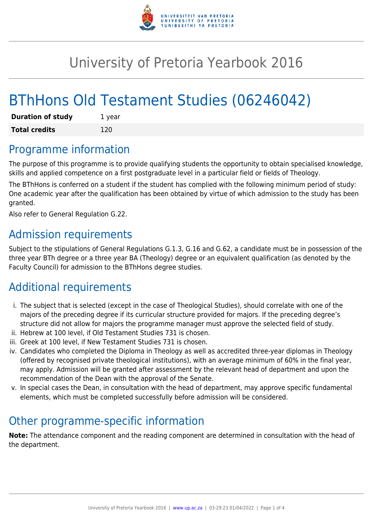

## University of Pretoria Yearbook 2016

# BThHons Old Testament Studies (06246042)

| <b>Duration of study</b> | 1 year |
|--------------------------|--------|
| <b>Total credits</b>     | 120    |

### Programme information

The purpose of this programme is to provide qualifying students the opportunity to obtain specialised knowledge, skills and applied competence on a first postgraduate level in a particular field or fields of Theology.

The BThHons is conferred on a student if the student has complied with the following minimum period of study: One academic year after the qualification has been obtained by virtue of which admission to the study has been granted.

Also refer to General Regulation G.22.

#### Admission requirements

Subject to the stipulations of General Regulations G.1.3, G.16 and G.62, a candidate must be in possession of the three year BTh degree or a three year BA (Theology) degree or an equivalent qualification (as denoted by the Faculty Council) for admission to the BThHons degree studies.

### Additional requirements

- i. The subject that is selected (except in the case of Theological Studies), should correlate with one of the majors of the preceding degree if its curricular structure provided for majors. If the preceding degree's structure did not allow for majors the programme manager must approve the selected field of study.
- ii. Hebrew at 100 level, if Old Testament Studies 731 is chosen.
- iii. Greek at 100 level, if New Testament Studies 731 is chosen.
- iv. Candidates who completed the Diploma in Theology as well as accredited three-year diplomas in Theology (offered by recognised private theological institutions), with an average minimum of 60% in the final year, may apply. Admission will be granted after assessment by the relevant head of department and upon the recommendation of the Dean with the approval of the Senate.
- v. In special cases the Dean, in consultation with the head of department, may approve specific fundamental elements, which must be completed successfully before admission will be considered.

### Other programme-specific information

**Note:** The attendance component and the reading component are determined in consultation with the head of the department.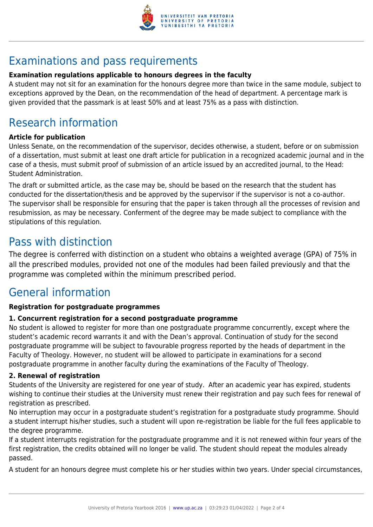

### Examinations and pass requirements

#### **Examination regulations applicable to honours degrees in the faculty**

A student may not sit for an examination for the honours degree more than twice in the same module, subject to exceptions approved by the Dean, on the recommendation of the head of department. A percentage mark is given provided that the passmark is at least 50% and at least 75% as a pass with distinction.

### Research information

#### **Article for publication**

Unless Senate, on the recommendation of the supervisor, decides otherwise, a student, before or on submission of a dissertation, must submit at least one draft article for publication in a recognized academic journal and in the case of a thesis, must submit proof of submission of an article issued by an accredited journal, to the Head: Student Administration.

The draft or submitted article, as the case may be, should be based on the research that the student has conducted for the dissertation/thesis and be approved by the supervisor if the supervisor is not a co-author. The supervisor shall be responsible for ensuring that the paper is taken through all the processes of revision and resubmission, as may be necessary. Conferment of the degree may be made subject to compliance with the stipulations of this regulation.

### Pass with distinction

The degree is conferred with distinction on a student who obtains a weighted average (GPA) of 75% in all the prescribed modules, provided not one of the modules had been failed previously and that the programme was completed within the minimum prescribed period.

### General information

#### **Registration for postgraduate programmes**

#### **1. Concurrent registration for a second postgraduate programme**

No student is allowed to register for more than one postgraduate programme concurrently, except where the student's academic record warrants it and with the Dean's approval. Continuation of study for the second postgraduate programme will be subject to favourable progress reported by the heads of department in the Faculty of Theology. However, no student will be allowed to participate in examinations for a second postgraduate programme in another faculty during the examinations of the Faculty of Theology.

#### **2. Renewal of registration**

Students of the University are registered for one year of study. After an academic year has expired, students wishing to continue their studies at the University must renew their registration and pay such fees for renewal of registration as prescribed.

No interruption may occur in a postgraduate student's registration for a postgraduate study programme. Should a student interrupt his/her studies, such a student will upon re-registration be liable for the full fees applicable to the degree programme.

If a student interrupts registration for the postgraduate programme and it is not renewed within four years of the first registration, the credits obtained will no longer be valid. The student should repeat the modules already passed.

A student for an honours degree must complete his or her studies within two years. Under special circumstances,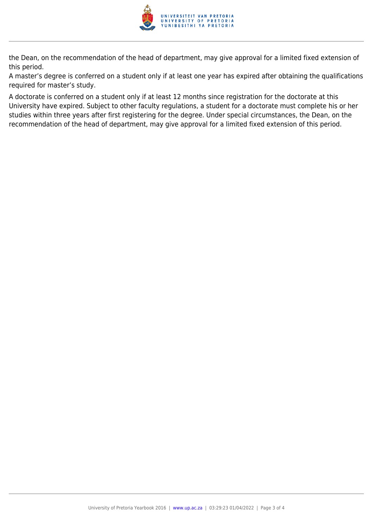

the Dean, on the recommendation of the head of department, may give approval for a limited fixed extension of this period.

A master's degree is conferred on a student only if at least one year has expired after obtaining the qualifications required for master's study.

A doctorate is conferred on a student only if at least 12 months since registration for the doctorate at this University have expired. Subject to other faculty regulations, a student for a doctorate must complete his or her studies within three years after first registering for the degree. Under special circumstances, the Dean, on the recommendation of the head of department, may give approval for a limited fixed extension of this period.